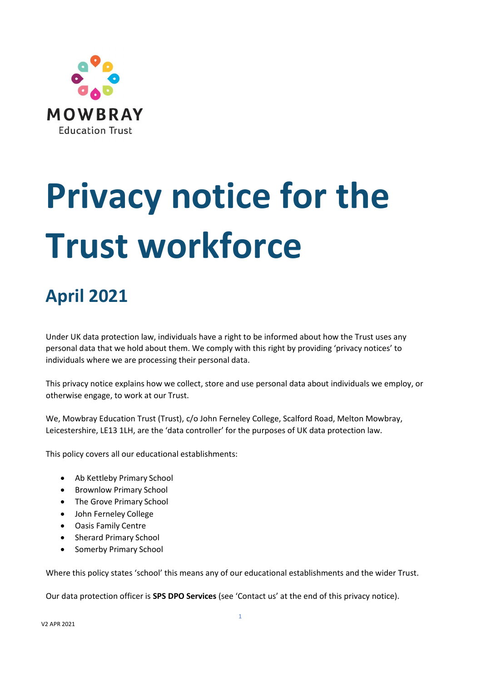

# **Privacy notice for the Trust workforce**

# **April 2021**

Under UK data protection law, individuals have a right to be informed about how the Trust uses any personal data that we hold about them. We comply with this right by providing 'privacy notices' to individuals where we are processing their personal data.

This privacy notice explains how we collect, store and use personal data about individuals we employ, or otherwise engage, to work at our Trust.

We, Mowbray Education Trust (Trust), c/o John Ferneley College, Scalford Road, Melton Mowbray, Leicestershire, LE13 1LH, are the 'data controller' for the purposes of UK data protection law.

This policy covers all our educational establishments:

- Ab Kettleby Primary School
- Brownlow Primary School
- The Grove Primary School
- John Ferneley College
- Oasis Family Centre
- Sherard Primary School
- Somerby Primary School

Where this policy states 'school' this means any of our educational establishments and the wider Trust.

Our data protection officer is **SPS DPO Services** (see 'Contact us' at the end of this privacy notice).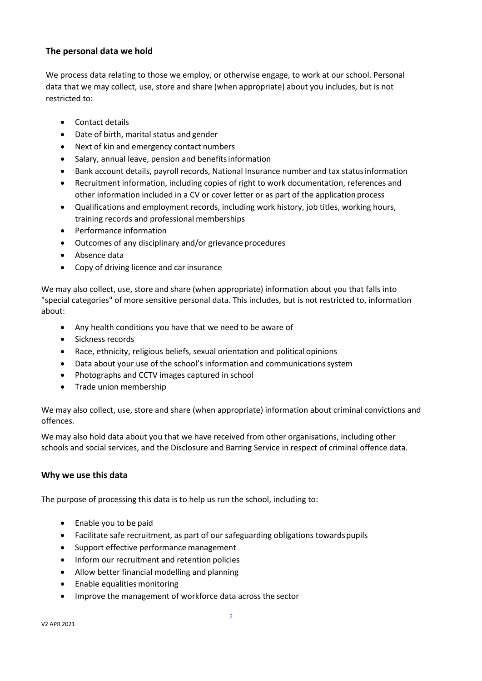# **The personal data we hold**

We process data relating to those we employ, or otherwise engage, to work at our school. Personal data that we may collect, use, store and share (when appropriate) about you includes, but is not restricted to:

- Contact details
- Date of birth, marital status and gender
- Next of kin and emergency contact numbers
- Salary, annual leave, pension and benefitsinformation
- Bank account details, payroll records, National Insurance number and tax statusinformation
- Recruitment information, including copies of right to work documentation, references and other information included in a CV or cover letter or as part of the applicationprocess
- Qualifications and employment records, including work history, job titles, working hours, training records and professional memberships
- Performance information
- Outcomes of any disciplinary and/or grievance procedures
- Absence data
- Copy of driving licence and car insurance

We may also collect, use, store and share (when appropriate) information about you that falls into "special categories" of more sensitive personal data. This includes, but is not restricted to, information about:

- Any health conditions you have that we need to be aware of
- Sickness records
- Race, ethnicity, religious beliefs, sexual orientation and political opinions
- Data about your use of the school's information and communications system
- Photographs and CCTV images captured in school
- Trade union membership

We may also collect, use, store and share (when appropriate) information about criminal convictions and offences.

We may also hold data about you that we have received from other organisations, including other schools and social services, and the Disclosure and Barring Service in respect of criminal offence data.

# **Why we use this data**

The purpose of processing this data is to help us run the school, including to:

- Enable you to be paid
- Facilitate safe recruitment, as part of our safeguarding obligations towards pupils
- Support effective performance management
- Inform our recruitment and retention policies
- Allow better financial modelling and planning
- Enable equalities monitoring
- Improve the management of workforce data across the sector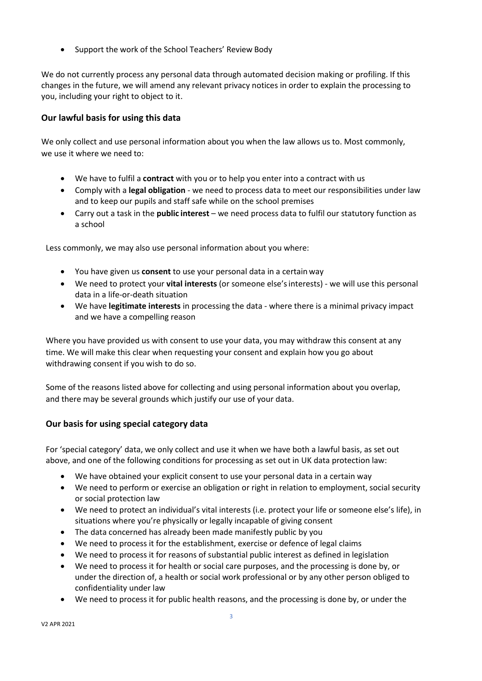• Support the work of the School Teachers' Review Body

We do not currently process any personal data through automated decision making or profiling. If this changes in the future, we will amend any relevant privacy notices in order to explain the processing to you, including your right to object to it.

# **Our lawful basis for using this data**

We only collect and use personal information about you when the law allows us to. Most commonly, we use it where we need to:

- We have to fulfil a **contract** with you or to help you enter into a contract with us
- Comply with a **legal obligation** we need to process data to meet our responsibilities under law and to keep our pupils and staff safe while on the school premises
- Carry out a task in the **public interest** we need process data to fulfil our statutory function as a school

Less commonly, we may also use personal information about you where:

- You have given us **consent** to use your personal data in a certain way
- We need to protect your **vital interests** (or someone else'sinterests) we will use this personal data in a life-or-death situation
- We have **legitimate interests** in processing the data where there is a minimal privacy impact and we have a compelling reason

Where you have provided us with consent to use your data, you may withdraw this consent at any time. We will make this clear when requesting your consent and explain how you go about withdrawing consent if you wish to do so.

Some of the reasons listed above for collecting and using personal information about you overlap, and there may be several grounds which justify our use of your data.

# **Our basis for using special category data**

For 'special category' data, we only collect and use it when we have both a lawful basis, as set out above, and one of the following conditions for processing as set out in UK data protection law:

- We have obtained your explicit consent to use your personal data in a certain way
- We need to perform or exercise an obligation or right in relation to employment, social security or social protection law
- We need to protect an individual's vital interests (i.e. protect your life or someone else's life), in situations where you're physically or legally incapable of giving consent
- The data concerned has already been made manifestly public by you
- We need to process it for the establishment, exercise or defence of legal claims
- We need to process it for reasons of substantial public interest as defined in legislation
- We need to process it for health or social care purposes, and the processing is done by, or under the direction of, a health or social work professional or by any other person obliged to confidentiality under law
- We need to process it for public health reasons, and the processing is done by, or under the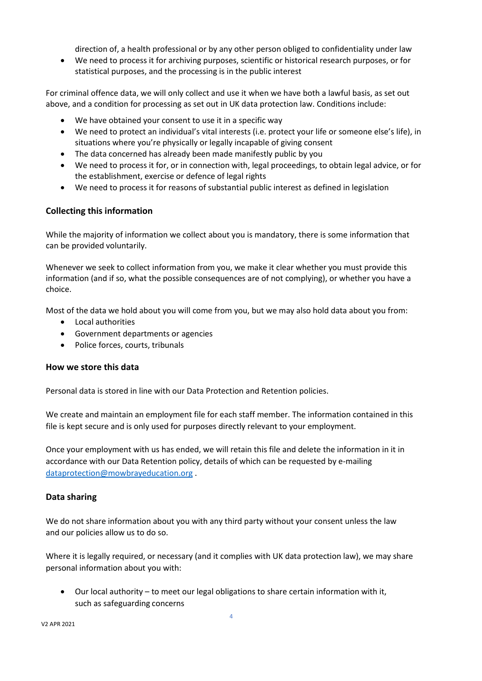direction of, a health professional or by any other person obliged to confidentiality under law

• We need to process it for archiving purposes, scientific or historical research purposes, or for statistical purposes, and the processing is in the public interest

For criminal offence data, we will only collect and use it when we have both a lawful basis, as set out above, and a condition for processing as set out in UK data protection law. Conditions include:

- We have obtained your consent to use it in a specific way
- We need to protect an individual's vital interests (i.e. protect your life or someone else's life), in situations where you're physically or legally incapable of giving consent
- The data concerned has already been made manifestly public by you
- We need to process it for, or in connection with, legal proceedings, to obtain legal advice, or for the establishment, exercise or defence of legal rights
- We need to process it for reasons of substantial public interest as defined in legislation

# **Collecting this information**

While the majority of information we collect about you is mandatory, there is some information that can be provided voluntarily.

Whenever we seek to collect information from you, we make it clear whether you must provide this information (and if so, what the possible consequences are of not complying), or whether you have a choice.

Most of the data we hold about you will come from you, but we may also hold data about you from:

- Local authorities
- Government departments or agencies
- Police forces, courts, tribunals

#### **How we store this data**

Personal data is stored in line with our Data Protection and Retention policies.

We create and maintain an employment file for each staff member. The information contained in this file is kept secure and is only used for purposes directly relevant to your employment.

Once your employment with us has ended, we will retain this file and delete the information in it in accordance with our Data Retention policy, details of which can be requested by e-mailing [dataprotection@mowbrayeducation.org](mailto:dataprotection@mowbrayeducation.org) .

#### **Data sharing**

We do not share information about you with any third party without your consent unless the law and our policies allow us to do so.

Where it is legally required, or necessary (and it complies with UK data protection law), we may share personal information about you with:

• Our local authority – to meet our legal obligations to share certain information with it, such as safeguarding concerns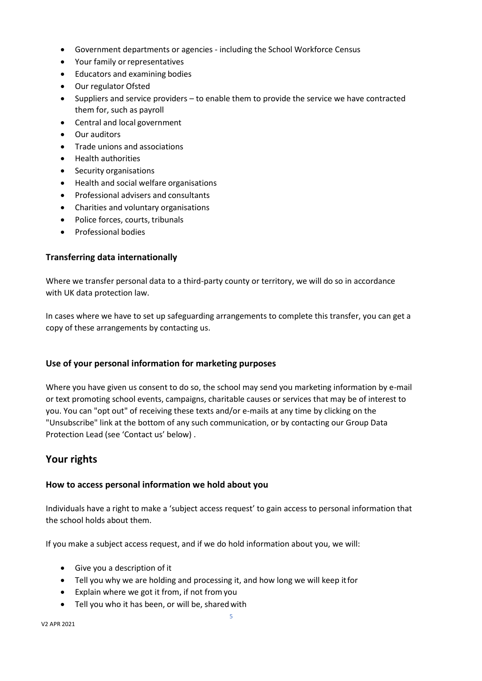- Government departments or agencies including the School Workforce Census
- Your family or representatives
- Educators and examining bodies
- Our regulator Ofsted
- Suppliers and service providers to enable them to provide the service we have contracted them for, such as payroll
- Central and local government
- Our auditors
- Trade unions and associations
- Health authorities
- Security organisations
- Health and social welfare organisations
- Professional advisers and consultants
- Charities and voluntary organisations
- Police forces, courts, tribunals
- Professional bodies

#### **Transferring data internationally**

Where we transfer personal data to a third-party county or territory, we will do so in accordance with UK data protection law.

In cases where we have to set up safeguarding arrangements to complete this transfer, you can get a copy of these arrangements by contacting us.

# **Use of your personal information for marketing purposes**

Where you have given us consent to do so, the school may send you marketing information by e-mail or text promoting school events, campaigns, charitable causes or services that may be of interest to you. You can "opt out" of receiving these texts and/or e-mails at any time by clicking on the "Unsubscribe" link at the bottom of any such communication, or by contacting our Group Data Protection Lead (see 'Contact us' below) .

# **Your rights**

#### **How to access personal information we hold about you**

Individuals have a right to make a 'subject access request' to gain access to personal information that the school holds about them.

If you make a subject access request, and if we do hold information about you, we will:

- Give you a description of it
- Tell you why we are holding and processing it, and how long we will keep itfor
- Explain where we got it from, if not fromyou
- Tell you who it has been, or will be, sharedwith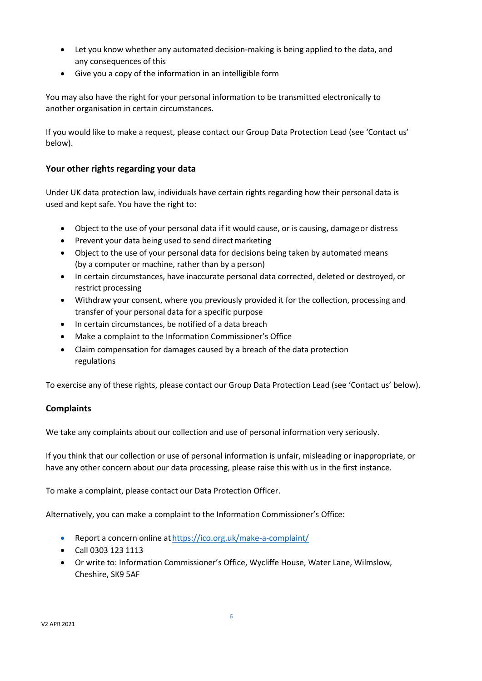- Let you know whether any automated decision-making is being applied to the data, and any consequences of this
- Give you a copy of the information in an intelligible form

You may also have the right for your personal information to be transmitted electronically to another organisation in certain circumstances.

If you would like to make a request, please contact our Group Data Protection Lead (see 'Contact us' below).

# **Your other rights regarding your data**

Under UK data protection law, individuals have certain rights regarding how their personal data is used and kept safe. You have the right to:

- Object to the use of your personal data if it would cause, or is causing, damageor distress
- Prevent your data being used to send direct marketing
- Object to the use of your personal data for decisions being taken by automated means (by a computer or machine, rather than by a person)
- In certain circumstances, have inaccurate personal data corrected, deleted or destroyed, or restrict processing
- Withdraw your consent, where you previously provided it for the collection, processing and transfer of your personal data for a specific purpose
- In certain circumstances, be notified of a data breach
- Make a complaint to the Information Commissioner's Office
- Claim compensation for damages caused by a breach of the data protection regulations

To exercise any of these rights, please contact our Group Data Protection Lead (see 'Contact us' below).

# **Complaints**

We take any complaints about our collection and use of personal information very seriously.

If you think that our collection or use of personal information is unfair, misleading or inappropriate, or have any other concern about our data processing, please raise this with us in the first instance.

To make a complaint, please contact our Data Protection Officer.

Alternatively, you can make a complaint to the Information Commissioner's Office:

- Report a concern online at <https://ico.org.uk/make-a-complaint/>
- Call 0303 123 1113
- Or write to: Information Commissioner's Office, Wycliffe House, Water Lane, Wilmslow, Cheshire, SK9 5AF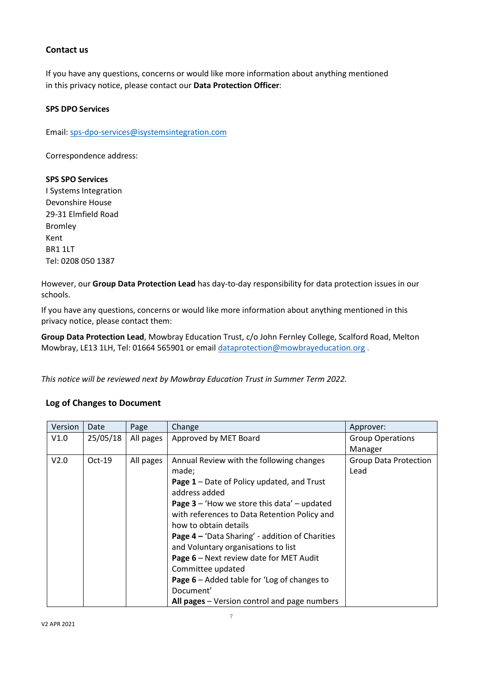#### **Contact us**

If you have any questions, concerns or would like more information about anything mentioned in this privacy notice, please contact our **Data Protection Officer**:

#### **SPS DPO Services**

Email[: sps-dpo-services@isystemsintegration.com](mailto:sps-dpo-services@isystemsintegration.com)

Correspondence address:

#### **SPS SPO Services**

I Systems Integration Devonshire House 29-31 Elmfield Road Bromley Kent BR1 1LT Tel: 0208 050 1387

However, our **Group Data Protection Lead** has day-to-day responsibility for data protection issues in our schools.

If you have any questions, concerns or would like more information about anything mentioned in this privacy notice, please contact them:

**Group Data Protection Lead**, Mowbray Education Trust, c/o John Fernley College, Scalford Road, Melton Mowbray, LE13 1LH, Tel: 01664 565901 or email [dataprotection@mowbrayeducation.org](mailto:dataprotection@mowbrayeducation.org) .

*This notice will be reviewed next by Mowbray Education Trust in Summer Term 2022.*

#### **Log of Changes to Document**

| Version | Date     | Page      | Change                                                 | Approver:                    |
|---------|----------|-----------|--------------------------------------------------------|------------------------------|
| V1.0    | 25/05/18 | All pages | Approved by MET Board                                  | <b>Group Operations</b>      |
|         |          |           |                                                        | Manager                      |
| V2.0    | $Oct-19$ | All pages | Annual Review with the following changes               | <b>Group Data Protection</b> |
|         |          |           | made;                                                  | Lead                         |
|         |          |           | <b>Page 1</b> – Date of Policy updated, and Trust      |                              |
|         |          |           | address added                                          |                              |
|         |          |           | <b>Page 3</b> – 'How we store this data' – updated     |                              |
|         |          |           | with references to Data Retention Policy and           |                              |
|         |          |           | how to obtain details                                  |                              |
|         |          |           | <b>Page 4 - 'Data Sharing' - addition of Charities</b> |                              |
|         |          |           | and Voluntary organisations to list                    |                              |
|         |          |           | Page 6 - Next review date for MET Audit                |                              |
|         |          |           | Committee updated                                      |                              |
|         |          |           | <b>Page 6</b> – Added table for 'Log of changes to     |                              |
|         |          |           | Document'                                              |                              |
|         |          |           | All pages - Version control and page numbers           |                              |